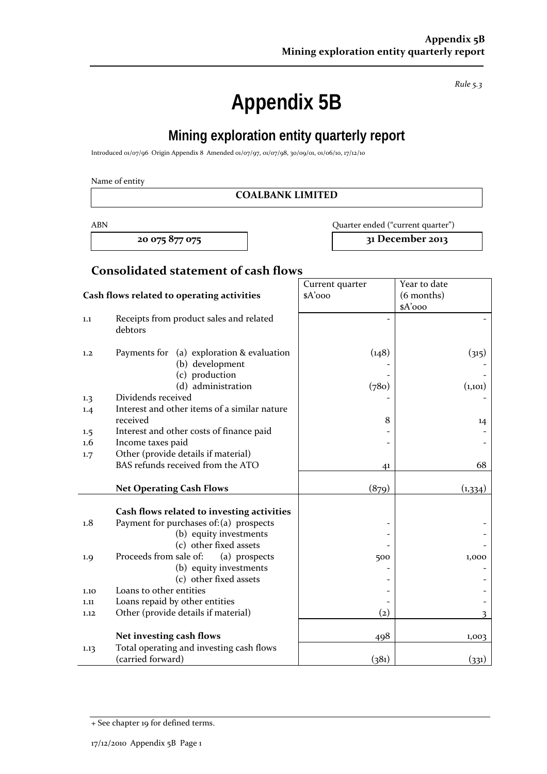**Appendix 5B** 

**Mining exploration entity quarterly report** 

Introduced 01/07/96 Origin Appendix 8 Amended 01/07/97, 01/07/98, 30/09/01, 01/06/10, 17/12/10

Name of entity

#### **COALBANK LIMITED**

ABN Quarter ended ("current quarter")

**20 075 877 075 31 December 2013**

## **Consolidated statement of cash flows**

|                                            |                                                                                | Current quarter   | Year to date |
|--------------------------------------------|--------------------------------------------------------------------------------|-------------------|--------------|
| Cash flows related to operating activities |                                                                                | $A'$ 000          | (6 months)   |
|                                            |                                                                                |                   | \$A'ooo      |
| 1.1                                        | Receipts from product sales and related<br>debtors                             |                   |              |
| 1,2                                        | Payments for (a) exploration & evaluation<br>(b) development<br>(c) production | (148)             | (315)        |
|                                            | (d) administration                                                             | (780)             | (1,101)      |
| 1.3                                        | Dividends received<br>Interest and other items of a similar nature             |                   |              |
| 1.4                                        | received                                                                       | 8                 | 14           |
| 1.5                                        | Interest and other costs of finance paid                                       |                   |              |
| $1.6\,$                                    | Income taxes paid                                                              |                   |              |
| 1.7                                        | Other (provide details if material)                                            |                   |              |
|                                            | BAS refunds received from the ATO                                              | 4 <sup>1</sup>    | 68           |
|                                            | <b>Net Operating Cash Flows</b>                                                | (879)             | (1, 334)     |
|                                            |                                                                                |                   |              |
|                                            | Cash flows related to investing activities                                     |                   |              |
| 1.8                                        | Payment for purchases of: (a) prospects                                        |                   |              |
|                                            | (b) equity investments                                                         |                   |              |
|                                            | (c) other fixed assets                                                         |                   |              |
| 1.9                                        | Proceeds from sale of:<br>(a) prospects                                        | 500               | 1,000        |
|                                            | (b) equity investments                                                         |                   |              |
|                                            | (c) other fixed assets                                                         |                   |              |
| 1.10                                       | Loans to other entities                                                        |                   |              |
| 1.11                                       | Loans repaid by other entities                                                 |                   |              |
| 1.12                                       | Other (provide details if material)                                            | $\left( 2\right)$ |              |
|                                            |                                                                                |                   |              |
|                                            | Net investing cash flows                                                       | 498               | 1,003        |
| 1.13                                       | Total operating and investing cash flows                                       |                   |              |
|                                            | (carried forward)                                                              | (381)             | (331)        |

*Rule 5.3*

<sup>+</sup> See chapter 19 for defined terms.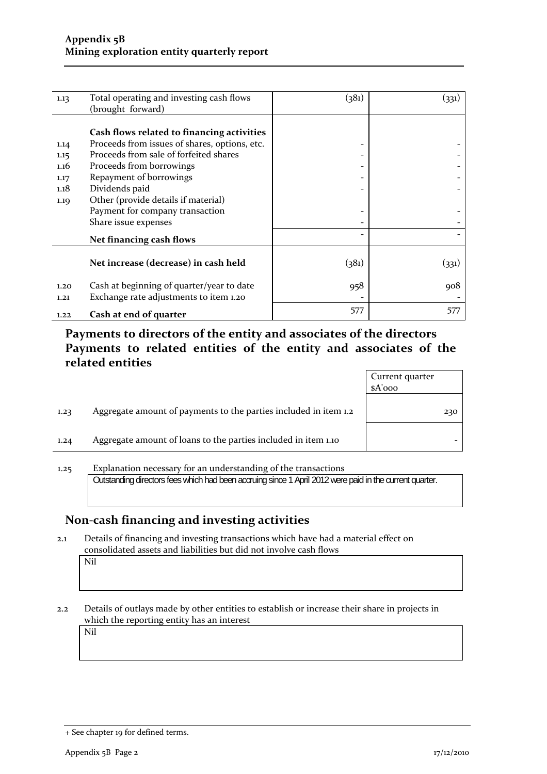| 1.13 | Total operating and investing cash flows      | (381)                    | (331) |
|------|-----------------------------------------------|--------------------------|-------|
|      | (brought forward)                             |                          |       |
|      |                                               |                          |       |
|      | Cash flows related to financing activities    |                          |       |
| 1.14 | Proceeds from issues of shares, options, etc. |                          |       |
| 1.15 | Proceeds from sale of forfeited shares        |                          |       |
| 1.16 | Proceeds from borrowings                      |                          |       |
| 1.17 | Repayment of borrowings                       |                          |       |
| 1.18 | Dividends paid                                |                          |       |
| 1.19 | Other (provide details if material)           |                          |       |
|      | Payment for company transaction               |                          |       |
|      | Share issue expenses                          |                          |       |
|      | Net financing cash flows                      | $\overline{\phantom{0}}$ |       |
|      |                                               |                          |       |
|      | Net increase (decrease) in cash held          | (381)                    | (331) |
|      |                                               |                          |       |
| 1.20 | Cash at beginning of quarter/year to date     | 958                      | 908   |
| 1,21 | Exchange rate adjustments to item 1.20        |                          |       |
| 1.22 | Cash at end of quarter                        | 577                      | 577   |
|      |                                               |                          |       |

**Payments to directors of the entity and associates of the directors Payments to related entities of the entity and associates of the related entities**

|      |                                                                  | Current quarter<br>\$A'ooo |     |
|------|------------------------------------------------------------------|----------------------------|-----|
| 1.23 | Aggregate amount of payments to the parties included in item 1.2 |                            | 230 |
| 1.24 | Aggregate amount of loans to the parties included in item 1.10   |                            |     |
|      |                                                                  |                            |     |

1.25 Explanation necessary for an understanding of the transactions Outstanding directors fees which had been accruing since 1 April 2012 were paid in the current quarter.

### **Non‐cash financing and investing activities**

2.1 Details of financing and investing transactions which have had a material effect on consolidated assets and liabilities but did not involve cash flows

Nil

2.2 Details of outlays made by other entities to establish or increase their share in projects in which the reporting entity has an interest

Nil

<sup>+</sup> See chapter 19 for defined terms.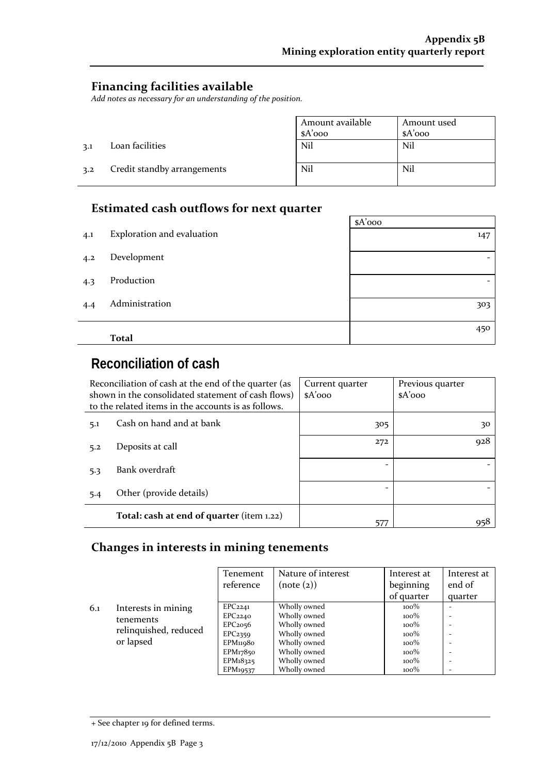$\sim$ 

### **Financing facilities available**

*Add notes as necessary for an understanding of the position.*

|     |                             | Amount available | Amount used |
|-----|-----------------------------|------------------|-------------|
|     |                             | $A'$ 000         | $A'$ 000    |
| 3.1 | Loan facilities             | Nil              | Nil         |
| 3.2 | Credit standby arrangements | Nil              | Nil         |

## **Estimated cash outflows for next quarter**

|     |                            | $A'$ 000 |
|-----|----------------------------|----------|
| 4.1 | Exploration and evaluation | 147      |
| 4.2 | Development                |          |
| 4.3 | Production                 |          |
| 4.4 | Administration             | 303      |
|     | <b>Total</b>               | 450      |
|     |                            |          |

# **Reconciliation of cash**

|     | Reconciliation of cash at the end of the quarter (as<br>shown in the consolidated statement of cash flows)<br>to the related items in the accounts is as follows. | Current quarter<br>$A'$ 000 | Previous quarter<br>$A'$ 000 |
|-----|-------------------------------------------------------------------------------------------------------------------------------------------------------------------|-----------------------------|------------------------------|
| 5.1 | Cash on hand and at bank                                                                                                                                          | 305                         | 30                           |
| 5.2 | Deposits at call                                                                                                                                                  | 272                         | 928                          |
| 5.3 | Bank overdraft                                                                                                                                                    |                             |                              |
| 5.4 | Other (provide details)                                                                                                                                           |                             |                              |
|     | Total: cash at end of quarter (item 1.22)                                                                                                                         | 577                         | 958                          |

#### **Changes in interests in mining tenements**

|     |                                                 | Tenement            | Nature of interest | Interest at | Interest at              |
|-----|-------------------------------------------------|---------------------|--------------------|-------------|--------------------------|
|     |                                                 | reference           | (note (2))         | beginning   | end of                   |
|     |                                                 |                     |                    | of quarter  | quarter                  |
| 6.1 | Interests in mining                             | EPC <sub>2241</sub> | Wholly owned       | $100\%$     |                          |
|     | tenements<br>relinquished, reduced<br>or lapsed | EPC <sub>2240</sub> | Wholly owned       | $100\%$     |                          |
|     |                                                 | EPC <sub>2056</sub> | Wholly owned       | $100\%$     |                          |
|     |                                                 | EPC <sub>2359</sub> | Wholly owned       | $100\%$     |                          |
|     |                                                 | EPM11980            | Wholly owned       | $100\%$     |                          |
|     |                                                 | EPM17850            | Wholly owned       | $100\%$     | -                        |
|     |                                                 | EPM18325            | Wholly owned       | $100\%$     | -                        |
|     |                                                 | EPM19537            | Wholly owned       | $100\%$     | $\overline{\phantom{0}}$ |

<sup>+</sup> See chapter 19 for defined terms.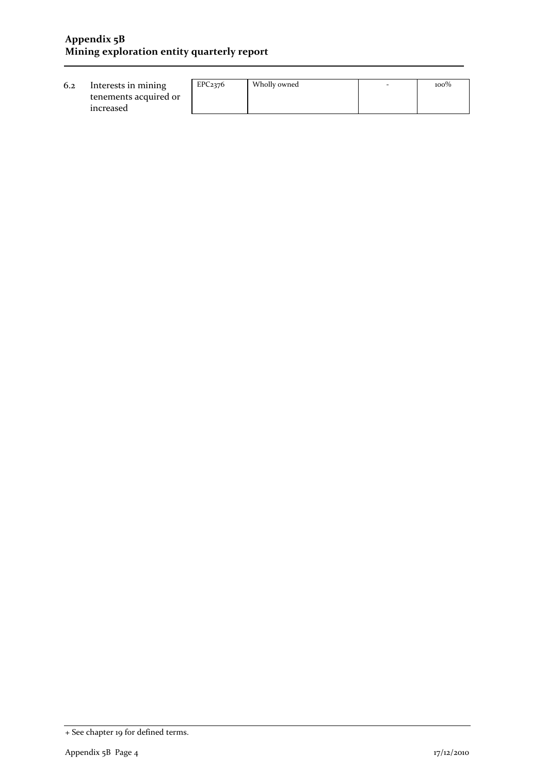#### **Appendix 5B Mining exploration entity quarterly report**

| 6.2<br>Interests in mining<br>tenements acquired or<br>increased | EPC <sub>2376</sub> | Wholly owned | - | $100\%$ |
|------------------------------------------------------------------|---------------------|--------------|---|---------|
|------------------------------------------------------------------|---------------------|--------------|---|---------|

<sup>+</sup> See chapter 19 for defined terms.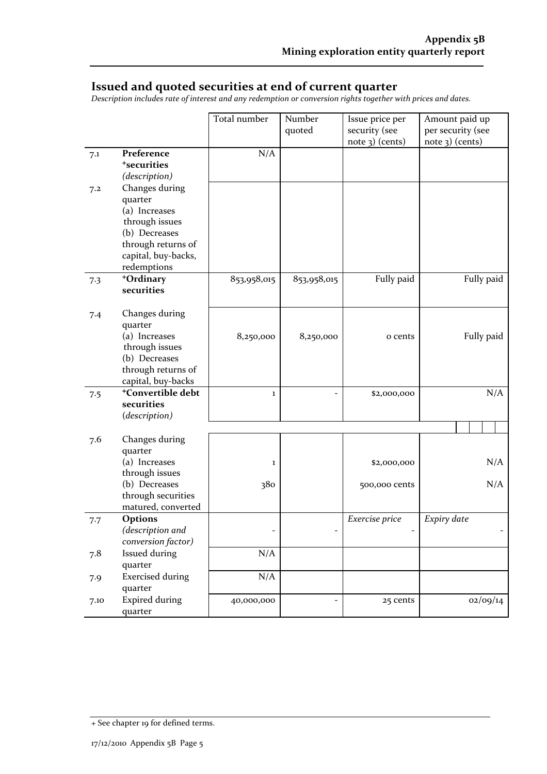#### **Issued and quoted securities at end of current quarter**

*Description includes rate of interest and any redemption or conversion rights together with prices and dates.*

|      |                               | Total number | Number      | Issue price per | Amount paid up    |
|------|-------------------------------|--------------|-------------|-----------------|-------------------|
|      |                               |              | quoted      | security (see   | per security (see |
|      |                               |              |             | note 3) (cents) | note 3) (cents)   |
| 7.1  | Preference                    | N/A          |             |                 |                   |
|      | <sup>+</sup> securities       |              |             |                 |                   |
|      | (description)                 |              |             |                 |                   |
| 7.2  | Changes during                |              |             |                 |                   |
|      | quarter                       |              |             |                 |                   |
|      | (a) Increases                 |              |             |                 |                   |
|      | through issues                |              |             |                 |                   |
|      | (b) Decreases                 |              |             |                 |                   |
|      | through returns of            |              |             |                 |                   |
|      | capital, buy-backs,           |              |             |                 |                   |
|      | redemptions                   |              |             |                 |                   |
| 7.3  | +Ordinary                     | 853,958,015  | 853,958,015 | Fully paid      | Fully paid        |
|      | securities                    |              |             |                 |                   |
|      |                               |              |             |                 |                   |
| 7.4  | Changes during<br>quarter     |              |             |                 |                   |
|      | (a) Increases                 | 8,250,000    | 8,250,000   | o cents         | Fully paid        |
|      | through issues                |              |             |                 |                   |
|      | (b) Decreases                 |              |             |                 |                   |
|      | through returns of            |              |             |                 |                   |
|      | capital, buy-backs            |              |             |                 |                   |
| 7.5  | <sup>+</sup> Convertible debt | $\mathbf 1$  |             | \$2,000,000     | N/A               |
|      | securities                    |              |             |                 |                   |
|      | (description)                 |              |             |                 |                   |
|      |                               |              |             |                 |                   |
| 7.6  | Changes during                |              |             |                 |                   |
|      | quarter                       |              |             |                 |                   |
|      | (a) Increases                 | 1            |             | \$2,000,000     | N/A               |
|      | through issues                |              |             |                 |                   |
|      | (b) Decreases                 | 380          |             | 500,000 cents   | N/A               |
|      | through securities            |              |             |                 |                   |
|      | matured, converted            |              |             |                 |                   |
| 7.7  | Options                       |              |             | Exercise price  | Expiry date       |
|      | (description and              |              |             |                 |                   |
|      | conversion factor)            |              |             |                 |                   |
| 7.8  | <b>Issued during</b>          | N/A          |             |                 |                   |
|      | quarter                       |              |             |                 |                   |
| 7.9  | <b>Exercised during</b>       | N/A          |             |                 |                   |
|      | quarter                       |              |             |                 |                   |
| 7.10 | <b>Expired during</b>         | 40,000,000   |             | 25 cents        | 02/09/14          |
|      | quarter                       |              |             |                 |                   |

<sup>+</sup> See chapter 19 for defined terms.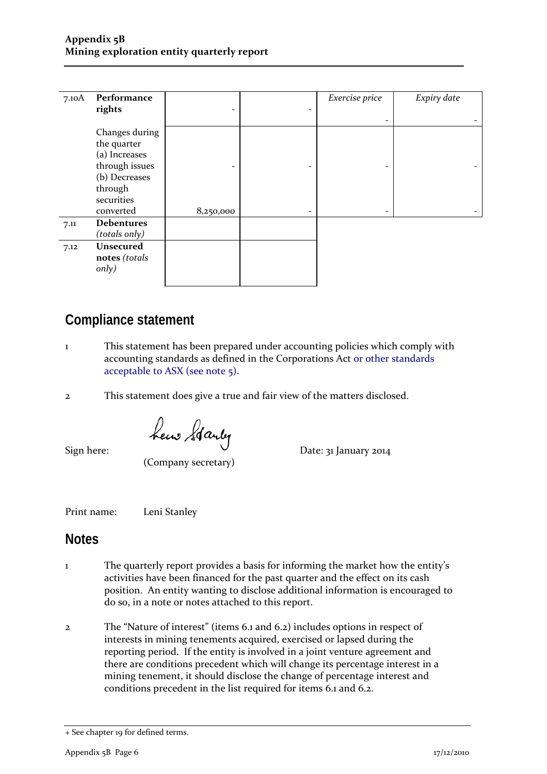| 7.10A | Performance                                                                                                             |                                       |        | Exercise price | Expiry date |
|-------|-------------------------------------------------------------------------------------------------------------------------|---------------------------------------|--------|----------------|-------------|
|       | rights                                                                                                                  | $\overline{\phantom{a}}$              | -      |                |             |
|       | Changes during<br>the quarter<br>(a) Increases<br>through issues<br>(b) Decreases<br>through<br>securities<br>converted | $\overline{\phantom{a}}$<br>8,250,000 | -<br>- |                |             |
| 7.11  | <b>Debentures</b><br>(totals only)                                                                                      |                                       |        |                |             |
| 7.12  | Unsecured<br>notes (totals<br>only)                                                                                     |                                       |        |                |             |

# **Compliance statement**

- 1 This statement has been prepared under accounting policies which comply with accounting standards as defined in the Corporations Act or other standards acceptable to ASX (see note 5).
- 2 This statement does give a true and fair view of the matters disclosed.

 $Sign here:$   $\begin{matrix} \text{heu} & \text{data} \\ \text{Meu} & \text{Data} \\ \text{Sign here:} & \text{Date: } 31 \text{ January } 2014 \end{matrix}$ 

(Company secretary)

Print name: Leni Stanley

## **Notes**

- 1 The quarterly report provides a basis for informing the market how the entity's activities have been financed for the past quarter and the effect on its cash position. An entity wanting to disclose additional information is encouraged to do so, in a note or notes attached to this report.
- 2 The "Nature of interest" (items 6.1 and 6.2) includes options in respect of interests in mining tenements acquired, exercised or lapsed during the reporting period. If the entity is involved in a joint venture agreement and there are conditions precedent which will change its percentage interest in a mining tenement, it should disclose the change of percentage interest and conditions precedent in the list required for items 6.1 and 6.2.

<sup>+</sup> See chapter 19 for defined terms.